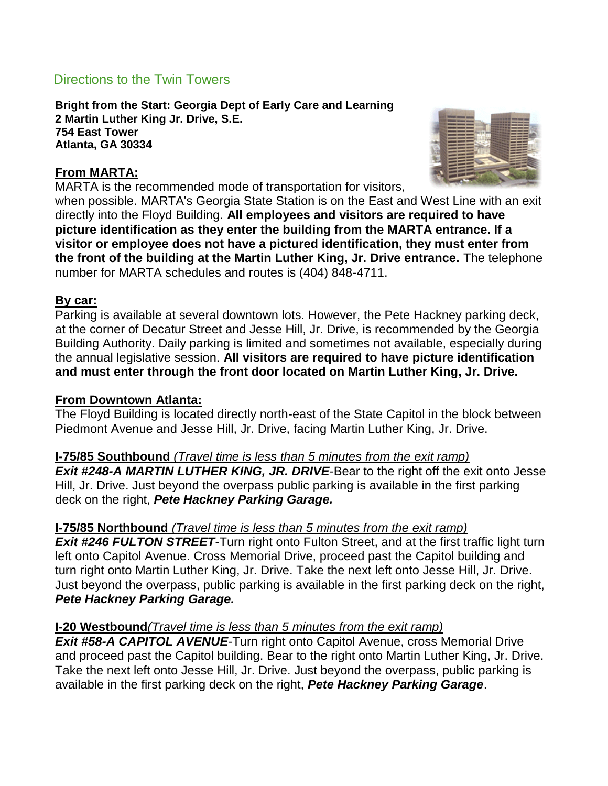# Directions to the Twin Towers

**Bright from the Start: Georgia Dept of Early Care and Learning 2 Martin Luther King Jr. Drive, S.E. 754 East Tower Atlanta, GA 30334**

### **From MARTA:**

MARTA is the recommended mode of transportation for visitors,



when possible. MARTA's Georgia State Station is on the East and West Line with an exit directly into the Floyd Building. **All employees and visitors are required to have picture identification as they enter the building from the MARTA entrance. If a visitor or employee does not have a pictured identification, they must enter from the front of the building at the Martin Luther King, Jr. Drive entrance.** The telephone number for MARTA schedules and routes is (404) 848-4711.

### **By car:**

Parking is available at several downtown lots. However, the Pete Hackney parking deck, at the corner of Decatur Street and Jesse Hill, Jr. Drive, is recommended by the Georgia Building Authority. Daily parking is limited and sometimes not available, especially during the annual legislative session. **All visitors are required to have picture identification and must enter through the front door located on Martin Luther King, Jr. Drive.**

#### **From Downtown Atlanta:**

The Floyd Building is located directly north-east of the State Capitol in the block between Piedmont Avenue and Jesse Hill, Jr. Drive, facing Martin Luther King, Jr. Drive.

#### **I-75/85 Southbound** *(Travel time is less than 5 minutes from the exit ramp)*

*Exit #248-A MARTIN LUTHER KING, JR. DRIVE*-Bear to the right off the exit onto Jesse Hill, Jr. Drive. Just beyond the overpass public parking is available in the first parking deck on the right, *Pete Hackney Parking Garage.*

# **I-75/85 Northbound** *(Travel time is less than 5 minutes from the exit ramp)*

**Exit #246 FULTON STREET-Turn right onto Fulton Street, and at the first traffic light turn** left onto Capitol Avenue. Cross Memorial Drive, proceed past the Capitol building and turn right onto Martin Luther King, Jr. Drive. Take the next left onto Jesse Hill, Jr. Drive. Just beyond the overpass, public parking is available in the first parking deck on the right, *Pete Hackney Parking Garage.*

#### **I-20 Westbound***(Travel time is less than 5 minutes from the exit ramp)*

**Exit #58-A CAPITOL AVENUE-Turn right onto Capitol Avenue, cross Memorial Drive** and proceed past the Capitol building. Bear to the right onto Martin Luther King, Jr. Drive. Take the next left onto Jesse Hill, Jr. Drive. Just beyond the overpass, public parking is available in the first parking deck on the right, *Pete Hackney Parking Garage*.